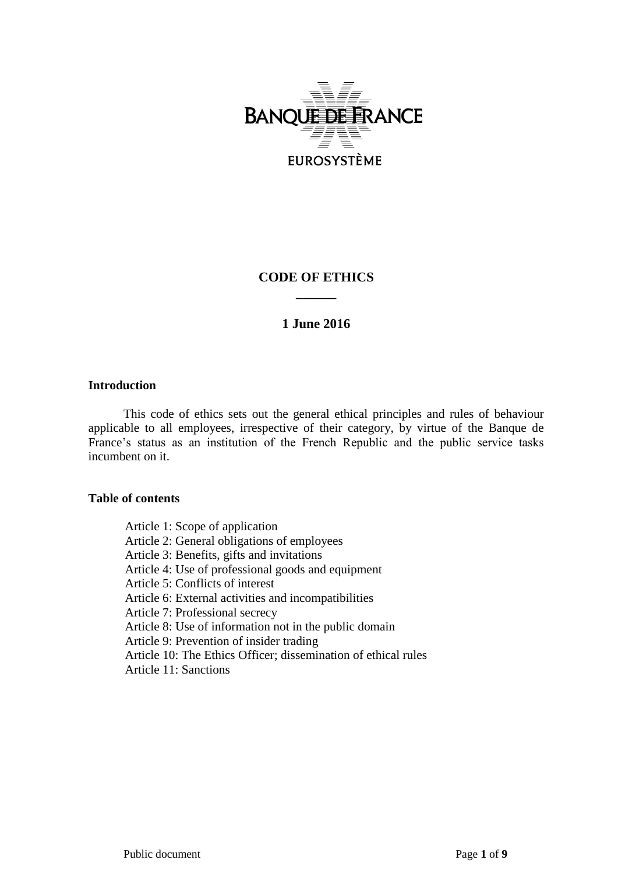

# **CODE OF ETHICS \_\_\_\_\_\_**

# **1 June 2016**

# **Introduction**

This code of ethics sets out the general ethical principles and rules of behaviour applicable to all employees, irrespective of their category, by virtue of the Banque de France's status as an institution of the French Republic and the public service tasks incumbent on it.

# **Table of contents**

Article 1: Scope of application Article 2: General obligations of employees Article 3: Benefits, gifts and invitations Article 4: Use of professional goods and equipment Article 5: Conflicts of interest Article 6: External activities and incompatibilities Article 7: Professional secrecy Article 8: Use of information not in the public domain Article 9: Prevention of insider trading Article 10: The Ethics Officer; dissemination of ethical rules Article 11: Sanctions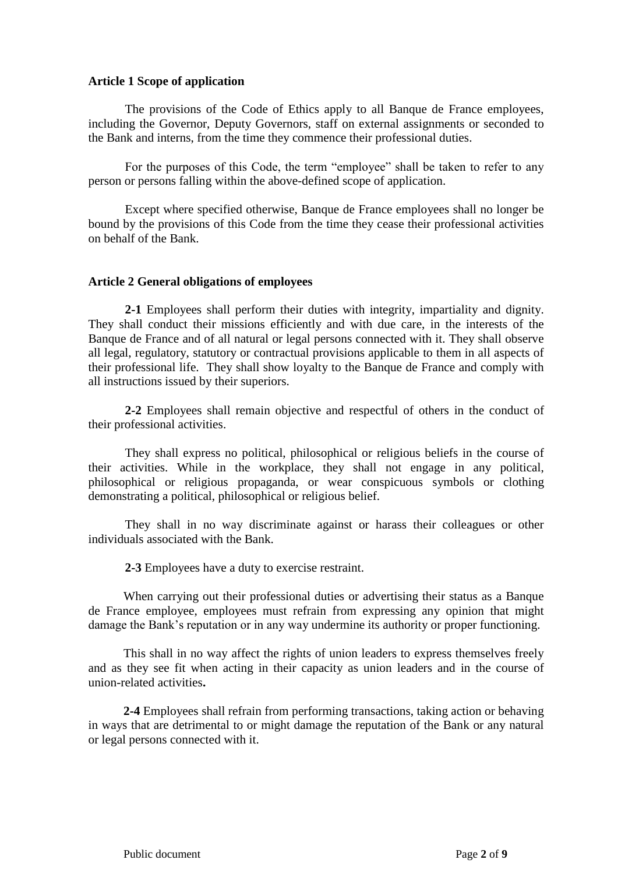# **Article 1 Scope of application**

The provisions of the Code of Ethics apply to all Banque de France employees, including the Governor, Deputy Governors, staff on external assignments or seconded to the Bank and interns, from the time they commence their professional duties.

For the purposes of this Code, the term "employee" shall be taken to refer to any person or persons falling within the above-defined scope of application.

Except where specified otherwise, Banque de France employees shall no longer be bound by the provisions of this Code from the time they cease their professional activities on behalf of the Bank.

# **Article 2 General obligations of employees**

**2-1** Employees shall perform their duties with integrity, impartiality and dignity. They shall conduct their missions efficiently and with due care, in the interests of the Banque de France and of all natural or legal persons connected with it. They shall observe all legal, regulatory, statutory or contractual provisions applicable to them in all aspects of their professional life. They shall show loyalty to the Banque de France and comply with all instructions issued by their superiors.

**2-2** Employees shall remain objective and respectful of others in the conduct of their professional activities.

They shall express no political, philosophical or religious beliefs in the course of their activities. While in the workplace, they shall not engage in any political, philosophical or religious propaganda, or wear conspicuous symbols or clothing demonstrating a political, philosophical or religious belief.

They shall in no way discriminate against or harass their colleagues or other individuals associated with the Bank.

**2-3** Employees have a duty to exercise restraint.

When carrying out their professional duties or advertising their status as a Banque de France employee, employees must refrain from expressing any opinion that might damage the Bank's reputation or in any way undermine its authority or proper functioning.

This shall in no way affect the rights of union leaders to express themselves freely and as they see fit when acting in their capacity as union leaders and in the course of union-related activities**.** 

**2-4** Employees shall refrain from performing transactions, taking action or behaving in ways that are detrimental to or might damage the reputation of the Bank or any natural or legal persons connected with it.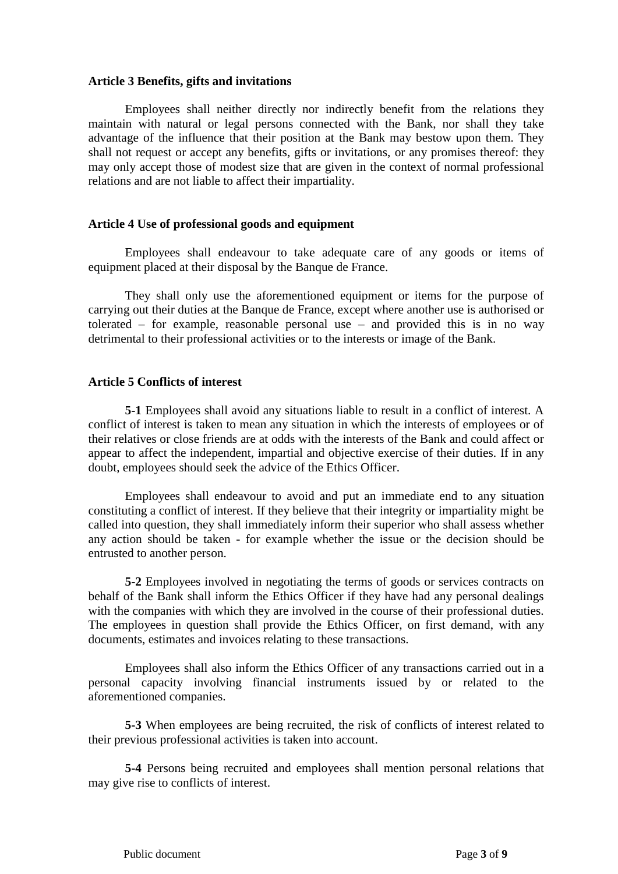# **Article 3 Benefits, gifts and invitations**

Employees shall neither directly nor indirectly benefit from the relations they maintain with natural or legal persons connected with the Bank, nor shall they take advantage of the influence that their position at the Bank may bestow upon them. They shall not request or accept any benefits, gifts or invitations, or any promises thereof: they may only accept those of modest size that are given in the context of normal professional relations and are not liable to affect their impartiality.

# **Article 4 Use of professional goods and equipment**

Employees shall endeavour to take adequate care of any goods or items of equipment placed at their disposal by the Banque de France.

They shall only use the aforementioned equipment or items for the purpose of carrying out their duties at the Banque de France, except where another use is authorised or tolerated – for example, reasonable personal use – and provided this is in no way detrimental to their professional activities or to the interests or image of the Bank.

# **Article 5 Conflicts of interest**

**5-1** Employees shall avoid any situations liable to result in a conflict of interest. A conflict of interest is taken to mean any situation in which the interests of employees or of their relatives or close friends are at odds with the interests of the Bank and could affect or appear to affect the independent, impartial and objective exercise of their duties. If in any doubt, employees should seek the advice of the Ethics Officer.

Employees shall endeavour to avoid and put an immediate end to any situation constituting a conflict of interest. If they believe that their integrity or impartiality might be called into question, they shall immediately inform their superior who shall assess whether any action should be taken - for example whether the issue or the decision should be entrusted to another person.

**5-2** Employees involved in negotiating the terms of goods or services contracts on behalf of the Bank shall inform the Ethics Officer if they have had any personal dealings with the companies with which they are involved in the course of their professional duties. The employees in question shall provide the Ethics Officer, on first demand, with any documents, estimates and invoices relating to these transactions.

Employees shall also inform the Ethics Officer of any transactions carried out in a personal capacity involving financial instruments issued by or related to the aforementioned companies.

**5-3** When employees are being recruited, the risk of conflicts of interest related to their previous professional activities is taken into account.

**5-4** Persons being recruited and employees shall mention personal relations that may give rise to conflicts of interest.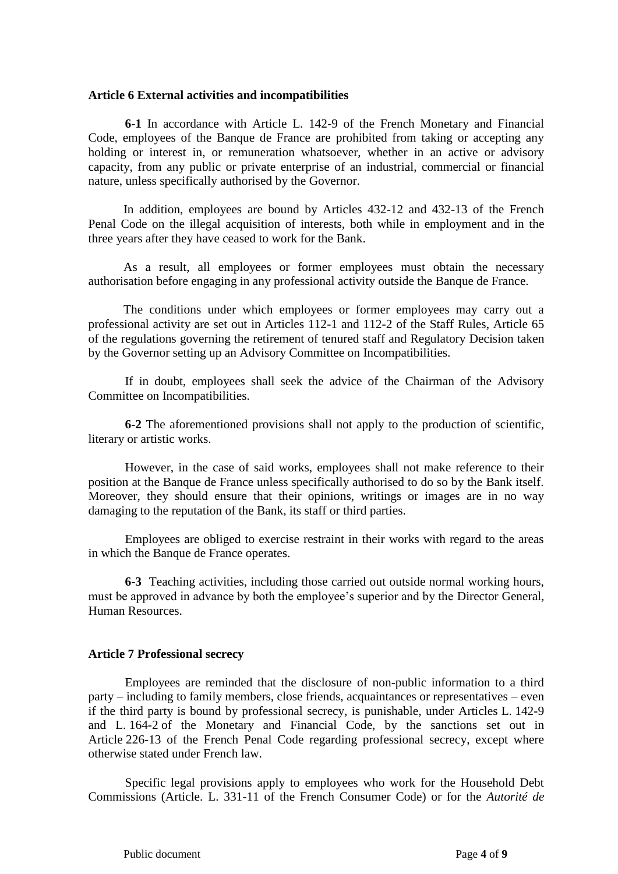#### **Article 6 External activities and incompatibilities**

**6-1** In accordance with Article L. 142-9 of the French Monetary and Financial Code, employees of the Banque de France are prohibited from taking or accepting any holding or interest in, or remuneration whatsoever, whether in an active or advisory capacity, from any public or private enterprise of an industrial, commercial or financial nature, unless specifically authorised by the Governor.

In addition, employees are bound by Articles 432-12 and 432-13 of the French Penal Code on the illegal acquisition of interests, both while in employment and in the three years after they have ceased to work for the Bank.

As a result, all employees or former employees must obtain the necessary authorisation before engaging in any professional activity outside the Banque de France.

The conditions under which employees or former employees may carry out a professional activity are set out in Articles 112-1 and 112-2 of the Staff Rules, Article 65 of the regulations governing the retirement of tenured staff and Regulatory Decision taken by the Governor setting up an Advisory Committee on Incompatibilities.

If in doubt, employees shall seek the advice of the Chairman of the Advisory Committee on Incompatibilities.

**6-2** The aforementioned provisions shall not apply to the production of scientific, literary or artistic works.

However, in the case of said works, employees shall not make reference to their position at the Banque de France unless specifically authorised to do so by the Bank itself. Moreover, they should ensure that their opinions, writings or images are in no way damaging to the reputation of the Bank, its staff or third parties.

Employees are obliged to exercise restraint in their works with regard to the areas in which the Banque de France operates.

**6-3** Teaching activities, including those carried out outside normal working hours, must be approved in advance by both the employee's superior and by the Director General, Human Resources.

#### **Article 7 Professional secrecy**

Employees are reminded that the disclosure of non-public information to a third party – including to family members, close friends, acquaintances or representatives – even if the third party is bound by professional secrecy, is punishable, under Articles L. 142-9 and L. 164-2 of the Monetary and Financial Code, by the sanctions set out in Article 226-13 of the French Penal Code regarding professional secrecy, except where otherwise stated under French law.

Specific legal provisions apply to employees who work for the Household Debt Commissions (Article. L. 331-11 of the French Consumer Code) or for the *Autorité de*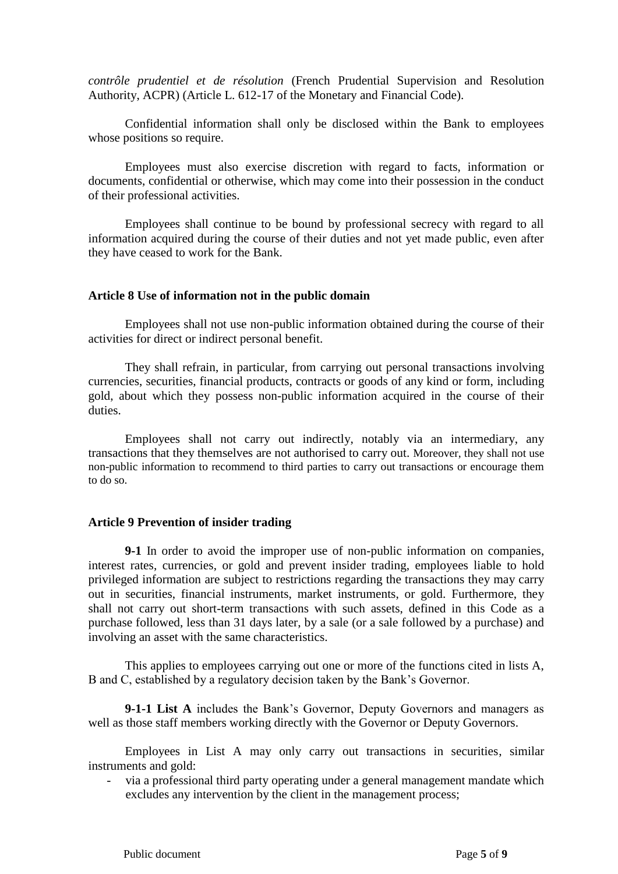*contrôle prudentiel et de résolution* (French Prudential Supervision and Resolution Authority, ACPR) (Article L. 612-17 of the Monetary and Financial Code).

Confidential information shall only be disclosed within the Bank to employees whose positions so require.

Employees must also exercise discretion with regard to facts, information or documents, confidential or otherwise, which may come into their possession in the conduct of their professional activities.

Employees shall continue to be bound by professional secrecy with regard to all information acquired during the course of their duties and not yet made public, even after they have ceased to work for the Bank.

### **Article 8 Use of information not in the public domain**

Employees shall not use non-public information obtained during the course of their activities for direct or indirect personal benefit.

They shall refrain, in particular, from carrying out personal transactions involving currencies, securities, financial products, contracts or goods of any kind or form, including gold, about which they possess non-public information acquired in the course of their duties.

Employees shall not carry out indirectly, notably via an intermediary, any transactions that they themselves are not authorised to carry out. Moreover, they shall not use non-public information to recommend to third parties to carry out transactions or encourage them to do so.

### **Article 9 Prevention of insider trading**

**9-1** In order to avoid the improper use of non-public information on companies, interest rates, currencies, or gold and prevent insider trading, employees liable to hold privileged information are subject to restrictions regarding the transactions they may carry out in securities, financial instruments, market instruments, or gold. Furthermore, they shall not carry out short-term transactions with such assets, defined in this Code as a purchase followed, less than 31 days later, by a sale (or a sale followed by a purchase) and involving an asset with the same characteristics.

This applies to employees carrying out one or more of the functions cited in lists A, B and C, established by a regulatory decision taken by the Bank's Governor.

**9-1-1 List A** includes the Bank's Governor, Deputy Governors and managers as well as those staff members working directly with the Governor or Deputy Governors.

Employees in List A may only carry out transactions in securities, similar instruments and gold:

- via a professional third party operating under a general management mandate which excludes any intervention by the client in the management process;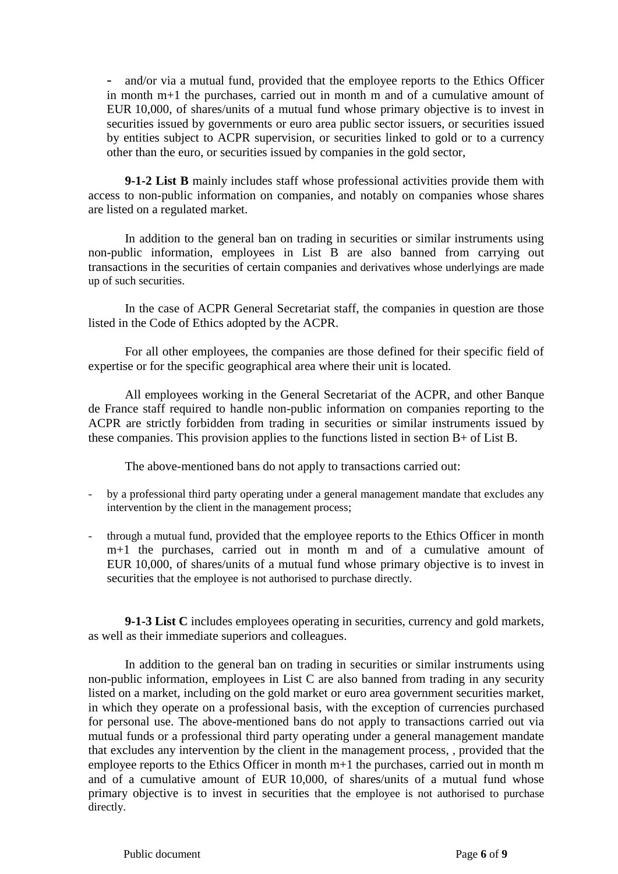- and/or via a mutual fund, provided that the employee reports to the Ethics Officer in month m+1 the purchases, carried out in month m and of a cumulative amount of EUR 10,000, of shares/units of a mutual fund whose primary objective is to invest in securities issued by governments or euro area public sector issuers, or securities issued by entities subject to ACPR supervision, or securities linked to gold or to a currency other than the euro, or securities issued by companies in the gold sector,

**9-1-2 List B** mainly includes staff whose professional activities provide them with access to non-public information on companies, and notably on companies whose shares are listed on a regulated market.

In addition to the general ban on trading in securities or similar instruments using non-public information, employees in List B are also banned from carrying out transactions in the securities of certain companies and derivatives whose underlyings are made up of such securities.

In the case of ACPR General Secretariat staff, the companies in question are those listed in the Code of Ethics adopted by the ACPR.

For all other employees, the companies are those defined for their specific field of expertise or for the specific geographical area where their unit is located.

All employees working in the General Secretariat of the ACPR, and other Banque de France staff required to handle non-public information on companies reporting to the ACPR are strictly forbidden from trading in securities or similar instruments issued by these companies. This provision applies to the functions listed in section B+ of List B.

The above-mentioned bans do not apply to transactions carried out:

- by a professional third party operating under a general management mandate that excludes any intervention by the client in the management process;
- through a mutual fund, provided that the employee reports to the Ethics Officer in month m+1 the purchases, carried out in month m and of a cumulative amount of EUR 10,000, of shares/units of a mutual fund whose primary objective is to invest in securities that the employee is not authorised to purchase directly.

**9-1-3 List C** includes employees operating in securities, currency and gold markets, as well as their immediate superiors and colleagues.

In addition to the general ban on trading in securities or similar instruments using non-public information, employees in List C are also banned from trading in any security listed on a market, including on the gold market or euro area government securities market, in which they operate on a professional basis, with the exception of currencies purchased for personal use. The above-mentioned bans do not apply to transactions carried out via mutual funds or a professional third party operating under a general management mandate that excludes any intervention by the client in the management process, , provided that the employee reports to the Ethics Officer in month m+1 the purchases, carried out in month m and of a cumulative amount of EUR 10,000, of shares/units of a mutual fund whose primary objective is to invest in securities that the employee is not authorised to purchase directly.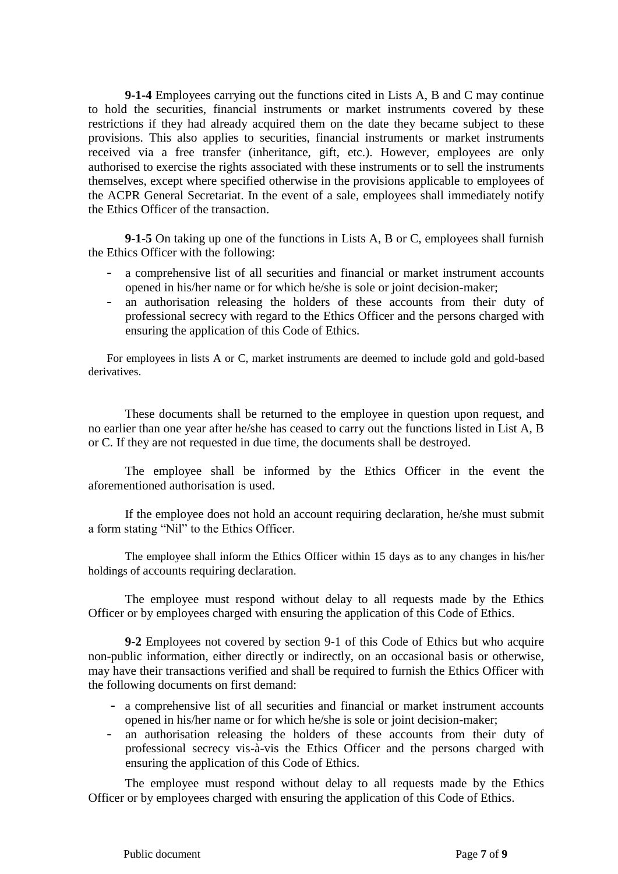**9-1-4** Employees carrying out the functions cited in Lists A, B and C may continue to hold the securities, financial instruments or market instruments covered by these restrictions if they had already acquired them on the date they became subject to these provisions. This also applies to securities, financial instruments or market instruments received via a free transfer (inheritance, gift, etc.). However, employees are only authorised to exercise the rights associated with these instruments or to sell the instruments themselves, except where specified otherwise in the provisions applicable to employees of the ACPR General Secretariat. In the event of a sale, employees shall immediately notify the Ethics Officer of the transaction.

**9-1-5** On taking up one of the functions in Lists A, B or C, employees shall furnish the Ethics Officer with the following:

- a comprehensive list of all securities and financial or market instrument accounts opened in his/her name or for which he/she is sole or joint decision-maker;
- an authorisation releasing the holders of these accounts from their duty of professional secrecy with regard to the Ethics Officer and the persons charged with ensuring the application of this Code of Ethics.

For employees in lists A or C, market instruments are deemed to include gold and gold-based derivatives.

These documents shall be returned to the employee in question upon request, and no earlier than one year after he/she has ceased to carry out the functions listed in List A, B or C. If they are not requested in due time, the documents shall be destroyed.

The employee shall be informed by the Ethics Officer in the event the aforementioned authorisation is used.

If the employee does not hold an account requiring declaration, he/she must submit a form stating "Nil" to the Ethics Officer.

The employee shall inform the Ethics Officer within 15 days as to any changes in his/her holdings of accounts requiring declaration.

The employee must respond without delay to all requests made by the Ethics Officer or by employees charged with ensuring the application of this Code of Ethics.

**9-2** Employees not covered by section 9-1 of this Code of Ethics but who acquire non-public information, either directly or indirectly, on an occasional basis or otherwise, may have their transactions verified and shall be required to furnish the Ethics Officer with the following documents on first demand:

- a comprehensive list of all securities and financial or market instrument accounts opened in his/her name or for which he/she is sole or joint decision-maker;
- an authorisation releasing the holders of these accounts from their duty of professional secrecy vis-à-vis the Ethics Officer and the persons charged with ensuring the application of this Code of Ethics.

The employee must respond without delay to all requests made by the Ethics Officer or by employees charged with ensuring the application of this Code of Ethics.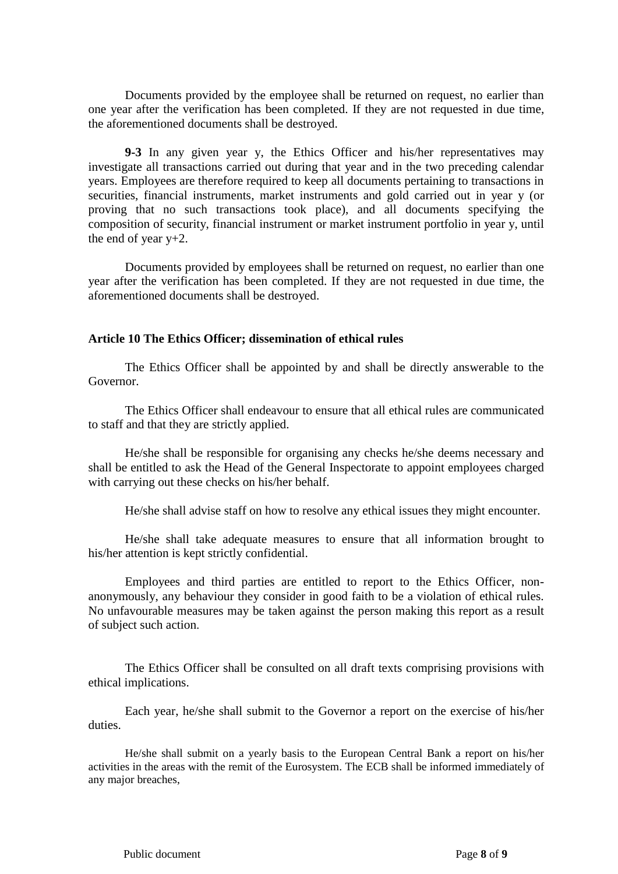Documents provided by the employee shall be returned on request, no earlier than one year after the verification has been completed. If they are not requested in due time, the aforementioned documents shall be destroyed.

**9-3** In any given year y, the Ethics Officer and his/her representatives may investigate all transactions carried out during that year and in the two preceding calendar years. Employees are therefore required to keep all documents pertaining to transactions in securities, financial instruments, market instruments and gold carried out in year y (or proving that no such transactions took place), and all documents specifying the composition of security, financial instrument or market instrument portfolio in year y, until the end of year  $y+2$ .

Documents provided by employees shall be returned on request, no earlier than one year after the verification has been completed. If they are not requested in due time, the aforementioned documents shall be destroyed.

# **Article 10 The Ethics Officer; dissemination of ethical rules**

The Ethics Officer shall be appointed by and shall be directly answerable to the Governor.

The Ethics Officer shall endeavour to ensure that all ethical rules are communicated to staff and that they are strictly applied.

He/she shall be responsible for organising any checks he/she deems necessary and shall be entitled to ask the Head of the General Inspectorate to appoint employees charged with carrying out these checks on his/her behalf.

He/she shall advise staff on how to resolve any ethical issues they might encounter*.*

He/she shall take adequate measures to ensure that all information brought to his/her attention is kept strictly confidential.

Employees and third parties are entitled to report to the Ethics Officer, nonanonymously, any behaviour they consider in good faith to be a violation of ethical rules. No unfavourable measures may be taken against the person making this report as a result of subject such action.

The Ethics Officer shall be consulted on all draft texts comprising provisions with ethical implications.

Each year, he/she shall submit to the Governor a report on the exercise of his/her duties.

He/she shall submit on a yearly basis to the European Central Bank a report on his/her activities in the areas with the remit of the Eurosystem. The ECB shall be informed immediately of any major breaches,